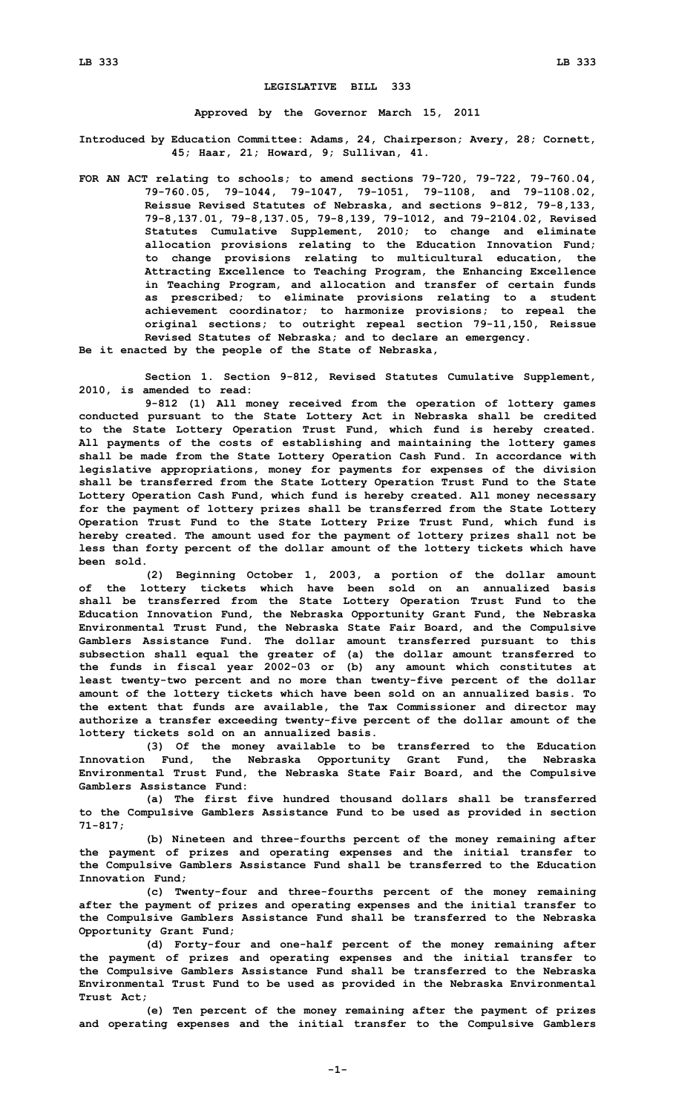## **LEGISLATIVE BILL 333**

**Approved by the Governor March 15, 2011**

**Introduced by Education Committee: Adams, 24, Chairperson; Avery, 28; Cornett, 45; Haar, 21; Howard, 9; Sullivan, 41.**

**FOR AN ACT relating to schools; to amend sections 79-720, 79-722, 79-760.04, 79-760.05, 79-1044, 79-1047, 79-1051, 79-1108, and 79-1108.02, Reissue Revised Statutes of Nebraska, and sections 9-812, 79-8,133, 79-8,137.01, 79-8,137.05, 79-8,139, 79-1012, and 79-2104.02, Revised Statutes Cumulative Supplement, 2010; to change and eliminate allocation provisions relating to the Education Innovation Fund; to change provisions relating to multicultural education, the Attracting Excellence to Teaching Program, the Enhancing Excellence in Teaching Program, and allocation and transfer of certain funds as prescribed; to eliminate provisions relating to <sup>a</sup> student achievement coordinator; to harmonize provisions; to repeal the original sections; to outright repeal section 79-11,150, Reissue Revised Statutes of Nebraska; and to declare an emergency.**

**Be it enacted by the people of the State of Nebraska,**

**Section 1. Section 9-812, Revised Statutes Cumulative Supplement, 2010, is amended to read:**

**9-812 (1) All money received from the operation of lottery games conducted pursuant to the State Lottery Act in Nebraska shall be credited to the State Lottery Operation Trust Fund, which fund is hereby created. All payments of the costs of establishing and maintaining the lottery games shall be made from the State Lottery Operation Cash Fund. In accordance with legislative appropriations, money for payments for expenses of the division shall be transferred from the State Lottery Operation Trust Fund to the State Lottery Operation Cash Fund, which fund is hereby created. All money necessary for the payment of lottery prizes shall be transferred from the State Lottery Operation Trust Fund to the State Lottery Prize Trust Fund, which fund is hereby created. The amount used for the payment of lottery prizes shall not be less than forty percent of the dollar amount of the lottery tickets which have been sold.**

**(2) Beginning October 1, 2003, <sup>a</sup> portion of the dollar amount of the lottery tickets which have been sold on an annualized basis shall be transferred from the State Lottery Operation Trust Fund to the Education Innovation Fund, the Nebraska Opportunity Grant Fund, the Nebraska Environmental Trust Fund, the Nebraska State Fair Board, and the Compulsive Gamblers Assistance Fund. The dollar amount transferred pursuant to this subsection shall equal the greater of (a) the dollar amount transferred to the funds in fiscal year 2002-03 or (b) any amount which constitutes at least twenty-two percent and no more than twenty-five percent of the dollar amount of the lottery tickets which have been sold on an annualized basis. To the extent that funds are available, the Tax Commissioner and director may authorize <sup>a</sup> transfer exceeding twenty-five percent of the dollar amount of the lottery tickets sold on an annualized basis.**

**(3) Of the money available to be transferred to the Education Innovation Fund, the Nebraska Opportunity Grant Fund, the Nebraska Environmental Trust Fund, the Nebraska State Fair Board, and the Compulsive Gamblers Assistance Fund:**

**(a) The first five hundred thousand dollars shall be transferred to the Compulsive Gamblers Assistance Fund to be used as provided in section 71-817;**

**(b) Nineteen and three-fourths percent of the money remaining after the payment of prizes and operating expenses and the initial transfer to the Compulsive Gamblers Assistance Fund shall be transferred to the Education Innovation Fund;**

**(c) Twenty-four and three-fourths percent of the money remaining after the payment of prizes and operating expenses and the initial transfer to the Compulsive Gamblers Assistance Fund shall be transferred to the Nebraska Opportunity Grant Fund;**

**(d) Forty-four and one-half percent of the money remaining after the payment of prizes and operating expenses and the initial transfer to the Compulsive Gamblers Assistance Fund shall be transferred to the Nebraska Environmental Trust Fund to be used as provided in the Nebraska Environmental Trust Act;**

**(e) Ten percent of the money remaining after the payment of prizes and operating expenses and the initial transfer to the Compulsive Gamblers**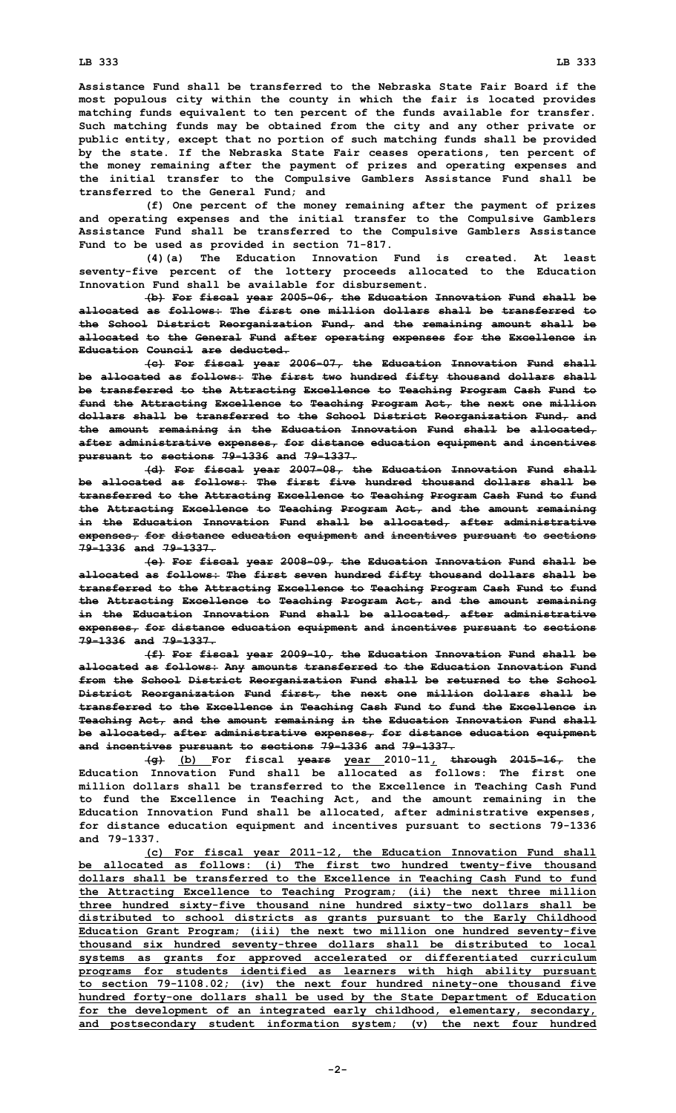**Assistance Fund shall be transferred to the Nebraska State Fair Board if the most populous city within the county in which the fair is located provides matching funds equivalent to ten percent of the funds available for transfer. Such matching funds may be obtained from the city and any other private or public entity, except that no portion of such matching funds shall be provided by the state. If the Nebraska State Fair ceases operations, ten percent of the money remaining after the payment of prizes and operating expenses and the initial transfer to the Compulsive Gamblers Assistance Fund shall be transferred to the General Fund; and**

**(f) One percent of the money remaining after the payment of prizes and operating expenses and the initial transfer to the Compulsive Gamblers Assistance Fund shall be transferred to the Compulsive Gamblers Assistance Fund to be used as provided in section 71-817.**

**(4)(a) The Education Innovation Fund is created. At least seventy-five percent of the lottery proceeds allocated to the Education Innovation Fund shall be available for disbursement.**

**(b) For fiscal year 2005-06, the Education Innovation Fund shall be allocated as follows: The first one million dollars shall be transferred to the School District Reorganization Fund, and the remaining amount shall be allocated to the General Fund after operating expenses for the Excellence in Education Council are deducted.**

**(c) For fiscal year 2006-07, the Education Innovation Fund shall be allocated as follows: The first two hundred fifty thousand dollars shall be transferred to the Attracting Excellence to Teaching Program Cash Fund to fund the Attracting Excellence to Teaching Program Act, the next one million dollars shall be transferred to the School District Reorganization Fund, and the amount remaining in the Education Innovation Fund shall be allocated, after administrative expenses, for distance education equipment and incentives pursuant to sections 79-1336 and 79-1337.**

**(d) For fiscal year 2007-08, the Education Innovation Fund shall be allocated as follows: The first five hundred thousand dollars shall be transferred to the Attracting Excellence to Teaching Program Cash Fund to fund the Attracting Excellence to Teaching Program Act, and the amount remaining in the Education Innovation Fund shall be allocated, after administrative expenses, for distance education equipment and incentives pursuant to sections 79-1336 and 79-1337.**

**(e) For fiscal year 2008-09, the Education Innovation Fund shall be allocated as follows: The first seven hundred fifty thousand dollars shall be transferred to the Attracting Excellence to Teaching Program Cash Fund to fund the Attracting Excellence to Teaching Program Act, and the amount remaining in the Education Innovation Fund shall be allocated, after administrative expenses, for distance education equipment and incentives pursuant to sections 79-1336 and 79-1337.**

**(f) For fiscal year 2009-10, the Education Innovation Fund shall be allocated as follows: Any amounts transferred to the Education Innovation Fund from the School District Reorganization Fund shall be returned to the School District Reorganization Fund first, the next one million dollars shall be transferred to the Excellence in Teaching Cash Fund to fund the Excellence in Teaching Act, and the amount remaining in the Education Innovation Fund shall be allocated, after administrative expenses, for distance education equipment and incentives pursuant to sections 79-1336 and 79-1337.**

**(g) (b) For fiscal years year 2010-11, through 2015-16, the Education Innovation Fund shall be allocated as follows: The first one million dollars shall be transferred to the Excellence in Teaching Cash Fund to fund the Excellence in Teaching Act, and the amount remaining in the Education Innovation Fund shall be allocated, after administrative expenses, for distance education equipment and incentives pursuant to sections 79-1336 and 79-1337.**

**(c) For fiscal year 2011-12, the Education Innovation Fund shall be allocated as follows: (i) The first two hundred twenty-five thousand dollars shall be transferred to the Excellence in Teaching Cash Fund to fund the Attracting Excellence to Teaching Program; (ii) the next three million three hundred sixty-five thousand nine hundred sixty-two dollars shall be distributed to school districts as grants pursuant to the Early Childhood Education Grant Program; (iii) the next two million one hundred seventy-five thousand six hundred seventy-three dollars shall be distributed to local systems as grants for approved accelerated or differentiated curriculum programs for students identified as learners with high ability pursuant to section 79-1108.02; (iv) the next four hundred ninety-one thousand five hundred forty-one dollars shall be used by the State Department of Education for the development of an integrated early childhood, elementary, secondary, and postsecondary student information system; (v) the next four hundred**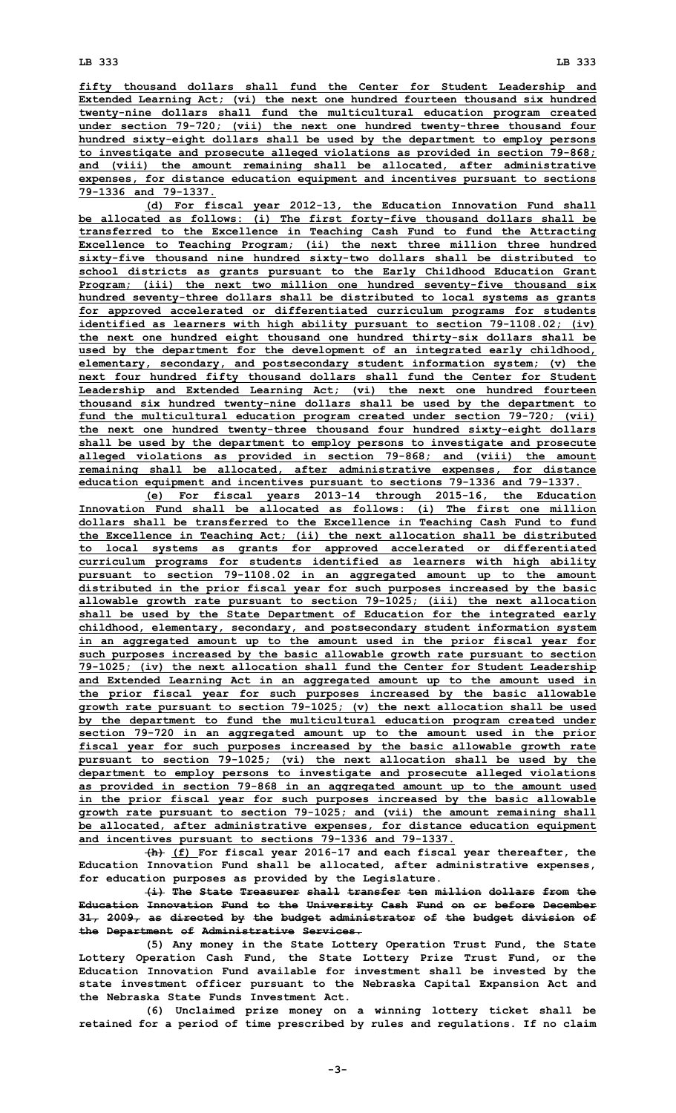**fifty thousand dollars shall fund the Center for Student Leadership and Extended Learning Act; (vi) the next one hundred fourteen thousand six hundred twenty-nine dollars shall fund the multicultural education program created under section 79-720; (vii) the next one hundred twenty-three thousand four hundred sixty-eight dollars shall be used by the department to employ persons to investigate and prosecute alleged violations as provided in section 79-868; and (viii) the amount remaining shall be allocated, after administrative expenses, for distance education equipment and incentives pursuant to sections 79-1336 and 79-1337.**

**(d) For fiscal year 2012-13, the Education Innovation Fund shall be allocated as follows: (i) The first forty-five thousand dollars shall be transferred to the Excellence in Teaching Cash Fund to fund the Attracting Excellence to Teaching Program; (ii) the next three million three hundred sixty-five thousand nine hundred sixty-two dollars shall be distributed to school districts as grants pursuant to the Early Childhood Education Grant Program; (iii) the next two million one hundred seventy-five thousand six hundred seventy-three dollars shall be distributed to local systems as grants for approved accelerated or differentiated curriculum programs for students identified as learners with high ability pursuant to section 79-1108.02; (iv) the next one hundred eight thousand one hundred thirty-six dollars shall be used by the department for the development of an integrated early childhood, elementary, secondary, and postsecondary student information system; (v) the next four hundred fifty thousand dollars shall fund the Center for Student Leadership and Extended Learning Act; (vi) the next one hundred fourteen thousand six hundred twenty-nine dollars shall be used by the department to fund the multicultural education program created under section 79-720; (vii) the next one hundred twenty-three thousand four hundred sixty-eight dollars shall be used by the department to employ persons to investigate and prosecute alleged violations as provided in section 79-868; and (viii) the amount remaining shall be allocated, after administrative expenses, for distance education equipment and incentives pursuant to sections 79-1336 and 79-1337.**

**(e) For fiscal years 2013-14 through 2015-16, the Education Innovation Fund shall be allocated as follows: (i) The first one million dollars shall be transferred to the Excellence in Teaching Cash Fund to fund the Excellence in Teaching Act; (ii) the next allocation shall be distributed to local systems as grants for approved accelerated or differentiated curriculum programs for students identified as learners with high ability pursuant to section 79-1108.02 in an aggregated amount up to the amount distributed in the prior fiscal year for such purposes increased by the basic allowable growth rate pursuant to section 79-1025; (iii) the next allocation shall be used by the State Department of Education for the integrated early childhood, elementary, secondary, and postsecondary student information system in an aggregated amount up to the amount used in the prior fiscal year for such purposes increased by the basic allowable growth rate pursuant to section 79-1025; (iv) the next allocation shall fund the Center for Student Leadership and Extended Learning Act in an aggregated amount up to the amount used in the prior fiscal year for such purposes increased by the basic allowable growth rate pursuant to section 79-1025; (v) the next allocation shall be used by the department to fund the multicultural education program created under section 79-720 in an aggregated amount up to the amount used in the prior fiscal year for such purposes increased by the basic allowable growth rate pursuant to section 79-1025; (vi) the next allocation shall be used by the department to employ persons to investigate and prosecute alleged violations as provided in section 79-868 in an aggregated amount up to the amount used in the prior fiscal year for such purposes increased by the basic allowable growth rate pursuant to section 79-1025; and (vii) the amount remaining shall be allocated, after administrative expenses, for distance education equipment and incentives pursuant to sections 79-1336 and 79-1337.**

**(h) (f) For fiscal year 2016-17 and each fiscal year thereafter, the Education Innovation Fund shall be allocated, after administrative expenses, for education purposes as provided by the Legislature.**

**(i) The State Treasurer shall transfer ten million dollars from the Education Innovation Fund to the University Cash Fund on or before December 31, 2009, as directed by the budget administrator of the budget division of the Department of Administrative Services.**

**(5) Any money in the State Lottery Operation Trust Fund, the State Lottery Operation Cash Fund, the State Lottery Prize Trust Fund, or the Education Innovation Fund available for investment shall be invested by the state investment officer pursuant to the Nebraska Capital Expansion Act and the Nebraska State Funds Investment Act.**

**(6) Unclaimed prize money on <sup>a</sup> winning lottery ticket shall be retained for <sup>a</sup> period of time prescribed by rules and regulations. If no claim**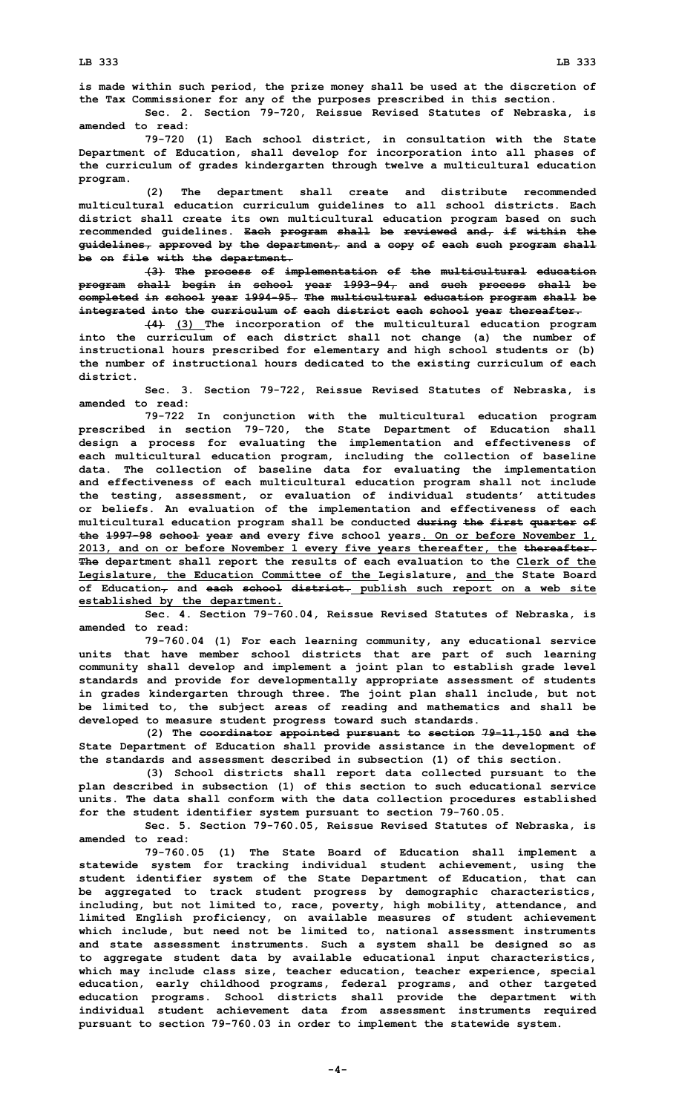**is made within such period, the prize money shall be used at the discretion of the Tax Commissioner for any of the purposes prescribed in this section.**

**Sec. 2. Section 79-720, Reissue Revised Statutes of Nebraska, is amended to read:**

**79-720 (1) Each school district, in consultation with the State Department of Education, shall develop for incorporation into all phases of the curriculum of grades kindergarten through twelve <sup>a</sup> multicultural education program.**

**(2) The department shall create and distribute recommended multicultural education curriculum guidelines to all school districts. Each district shall create its own multicultural education program based on such recommended guidelines. Each program shall be reviewed and, if within the guidelines, approved by the department, and <sup>a</sup> copy of each such program shall be on file with the department.**

**(3) The process of implementation of the multicultural education program shall begin in school year 1993-94, and such process shall be completed in school year 1994-95. The multicultural education program shall be integrated into the curriculum of each district each school year thereafter.**

**(4) (3) The incorporation of the multicultural education program into the curriculum of each district shall not change (a) the number of instructional hours prescribed for elementary and high school students or (b) the number of instructional hours dedicated to the existing curriculum of each district.**

**Sec. 3. Section 79-722, Reissue Revised Statutes of Nebraska, is amended to read:**

**79-722 In conjunction with the multicultural education program prescribed in section 79-720, the State Department of Education shall design <sup>a</sup> process for evaluating the implementation and effectiveness of each multicultural education program, including the collection of baseline data. The collection of baseline data for evaluating the implementation and effectiveness of each multicultural education program shall not include the testing, assessment, or evaluation of individual students' attitudes or beliefs. An evaluation of the implementation and effectiveness of each multicultural education program shall be conducted during the first quarter of the 1997-98 school year and every five school years. On or before November 1, 2013, and on or before November 1 every five years thereafter, the thereafter. The department shall report the results of each evaluation to the Clerk of the Legislature, the Education Committee of the Legislature, and the State Board of Education, and each school district. publish such report on <sup>a</sup> web site established by the department.**

**Sec. 4. Section 79-760.04, Reissue Revised Statutes of Nebraska, is amended to read:**

**79-760.04 (1) For each learning community, any educational service units that have member school districts that are part of such learning community shall develop and implement <sup>a</sup> joint plan to establish grade level standards and provide for developmentally appropriate assessment of students in grades kindergarten through three. The joint plan shall include, but not be limited to, the subject areas of reading and mathematics and shall be developed to measure student progress toward such standards.**

**(2) The coordinator appointed pursuant to section 79-11,150 and the State Department of Education shall provide assistance in the development of the standards and assessment described in subsection (1) of this section.**

**(3) School districts shall report data collected pursuant to the plan described in subsection (1) of this section to such educational service units. The data shall conform with the data collection procedures established for the student identifier system pursuant to section 79-760.05.**

**Sec. 5. Section 79-760.05, Reissue Revised Statutes of Nebraska, is amended to read:**

**79-760.05 (1) The State Board of Education shall implement <sup>a</sup> statewide system for tracking individual student achievement, using the student identifier system of the State Department of Education, that can be aggregated to track student progress by demographic characteristics, including, but not limited to, race, poverty, high mobility, attendance, and limited English proficiency, on available measures of student achievement which include, but need not be limited to, national assessment instruments and state assessment instruments. Such <sup>a</sup> system shall be designed so as to aggregate student data by available educational input characteristics, which may include class size, teacher education, teacher experience, special education, early childhood programs, federal programs, and other targeted education programs. School districts shall provide the department with individual student achievement data from assessment instruments required pursuant to section 79-760.03 in order to implement the statewide system.**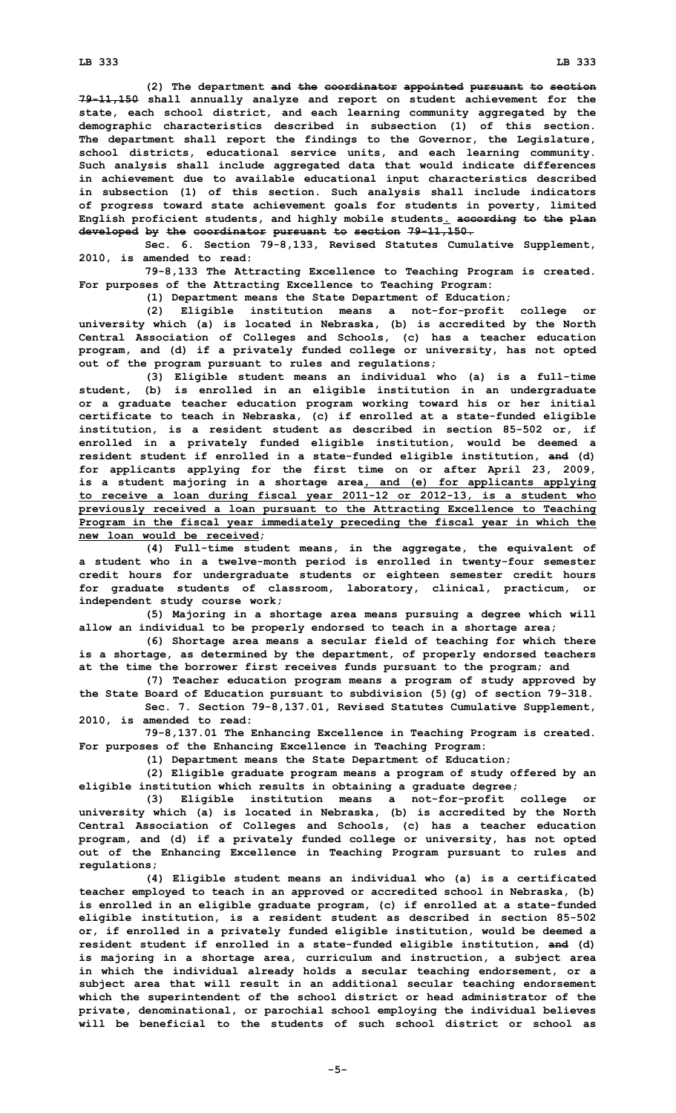**(2) The department and the coordinator appointed pursuant to section 79-11,150 shall annually analyze and report on student achievement for the state, each school district, and each learning community aggregated by the demographic characteristics described in subsection (1) of this section. The department shall report the findings to the Governor, the Legislature, school districts, educational service units, and each learning community. Such analysis shall include aggregated data that would indicate differences in achievement due to available educational input characteristics described in subsection (1) of this section. Such analysis shall include indicators of progress toward state achievement goals for students in poverty, limited English proficient students, and highly mobile students. according to the plan developed by the coordinator pursuant to section 79-11,150.**

**Sec. 6. Section 79-8,133, Revised Statutes Cumulative Supplement, 2010, is amended to read:**

**79-8,133 The Attracting Excellence to Teaching Program is created. For purposes of the Attracting Excellence to Teaching Program:**

**(1) Department means the State Department of Education;**

**(2) Eligible institution means <sup>a</sup> not-for-profit college or university which (a) is located in Nebraska, (b) is accredited by the North Central Association of Colleges and Schools, (c) has <sup>a</sup> teacher education program, and (d) if <sup>a</sup> privately funded college or university, has not opted out of the program pursuant to rules and regulations;**

**(3) Eligible student means an individual who (a) is <sup>a</sup> full-time student, (b) is enrolled in an eligible institution in an undergraduate or <sup>a</sup> graduate teacher education program working toward his or her initial certificate to teach in Nebraska, (c) if enrolled at <sup>a</sup> state-funded eligible institution, is <sup>a</sup> resident student as described in section 85-502 or, if enrolled in <sup>a</sup> privately funded eligible institution, would be deemed <sup>a</sup> resident student if enrolled in <sup>a</sup> state-funded eligible institution, and (d) for applicants applying for the first time on or after April 23, 2009, is <sup>a</sup> student majoring in <sup>a</sup> shortage area, and (e) for applicants applying to receive <sup>a</sup> loan during fiscal year 2011-12 or 2012-13, is <sup>a</sup> student who previously received <sup>a</sup> loan pursuant to the Attracting Excellence to Teaching Program in the fiscal year immediately preceding the fiscal year in which the new loan would be received;**

**(4) Full-time student means, in the aggregate, the equivalent of <sup>a</sup> student who in <sup>a</sup> twelve-month period is enrolled in twenty-four semester credit hours for undergraduate students or eighteen semester credit hours for graduate students of classroom, laboratory, clinical, practicum, or independent study course work;**

**(5) Majoring in <sup>a</sup> shortage area means pursuing <sup>a</sup> degree which will allow an individual to be properly endorsed to teach in <sup>a</sup> shortage area;**

**(6) Shortage area means <sup>a</sup> secular field of teaching for which there is <sup>a</sup> shortage, as determined by the department, of properly endorsed teachers at the time the borrower first receives funds pursuant to the program; and**

**(7) Teacher education program means <sup>a</sup> program of study approved by the State Board of Education pursuant to subdivision (5)(g) of section 79-318.**

**Sec. 7. Section 79-8,137.01, Revised Statutes Cumulative Supplement, 2010, is amended to read:**

**79-8,137.01 The Enhancing Excellence in Teaching Program is created. For purposes of the Enhancing Excellence in Teaching Program:**

**(1) Department means the State Department of Education;**

**(2) Eligible graduate program means <sup>a</sup> program of study offered by an eligible institution which results in obtaining <sup>a</sup> graduate degree;**

**(3) Eligible institution means <sup>a</sup> not-for-profit college or university which (a) is located in Nebraska, (b) is accredited by the North Central Association of Colleges and Schools, (c) has <sup>a</sup> teacher education program, and (d) if <sup>a</sup> privately funded college or university, has not opted out of the Enhancing Excellence in Teaching Program pursuant to rules and regulations;**

**(4) Eligible student means an individual who (a) is <sup>a</sup> certificated teacher employed to teach in an approved or accredited school in Nebraska, (b) is enrolled in an eligible graduate program, (c) if enrolled at <sup>a</sup> state-funded eligible institution, is <sup>a</sup> resident student as described in section 85-502 or, if enrolled in <sup>a</sup> privately funded eligible institution, would be deemed <sup>a</sup> resident student if enrolled in <sup>a</sup> state-funded eligible institution, and (d) is majoring in <sup>a</sup> shortage area, curriculum and instruction, <sup>a</sup> subject area in which the individual already holds <sup>a</sup> secular teaching endorsement, or <sup>a</sup> subject area that will result in an additional secular teaching endorsement which the superintendent of the school district or head administrator of the private, denominational, or parochial school employing the individual believes will be beneficial to the students of such school district or school as**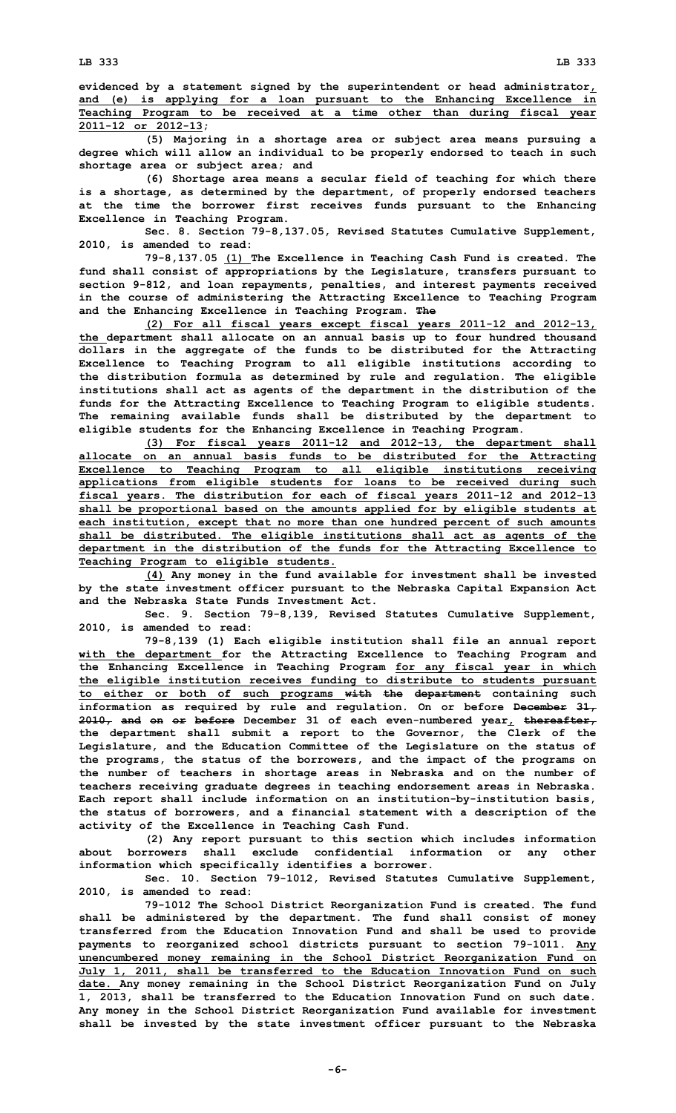**evidenced by <sup>a</sup> statement signed by the superintendent or head administrator, and (e) is applying for <sup>a</sup> loan pursuant to the Enhancing Excellence in Teaching Program to be received at <sup>a</sup> time other than during fiscal year 2011-12 or 2012-13;**

**(5) Majoring in <sup>a</sup> shortage area or subject area means pursuing <sup>a</sup> degree which will allow an individual to be properly endorsed to teach in such shortage area or subject area; and**

**(6) Shortage area means <sup>a</sup> secular field of teaching for which there is <sup>a</sup> shortage, as determined by the department, of properly endorsed teachers at the time the borrower first receives funds pursuant to the Enhancing Excellence in Teaching Program.**

**Sec. 8. Section 79-8,137.05, Revised Statutes Cumulative Supplement, 2010, is amended to read:**

**79-8,137.05 (1) The Excellence in Teaching Cash Fund is created. The fund shall consist of appropriations by the Legislature, transfers pursuant to section 9-812, and loan repayments, penalties, and interest payments received in the course of administering the Attracting Excellence to Teaching Program and the Enhancing Excellence in Teaching Program. The**

**(2) For all fiscal years except fiscal years 2011-12 and 2012-13, the department shall allocate on an annual basis up to four hundred thousand dollars in the aggregate of the funds to be distributed for the Attracting Excellence to Teaching Program to all eligible institutions according to the distribution formula as determined by rule and regulation. The eligible institutions shall act as agents of the department in the distribution of the funds for the Attracting Excellence to Teaching Program to eligible students. The remaining available funds shall be distributed by the department to eligible students for the Enhancing Excellence in Teaching Program.**

**(3) For fiscal years 2011-12 and 2012-13, the department shall allocate on an annual basis funds to be distributed for the Attracting Excellence to Teaching Program to all eligible institutions receiving applications from eligible students for loans to be received during such fiscal years. The distribution for each of fiscal years 2011-12 and 2012-13 shall be proportional based on the amounts applied for by eligible students at each institution, except that no more than one hundred percent of such amounts shall be distributed. The eligible institutions shall act as agents of the department in the distribution of the funds for the Attracting Excellence to Teaching Program to eligible students.**

**(4) Any money in the fund available for investment shall be invested by the state investment officer pursuant to the Nebraska Capital Expansion Act and the Nebraska State Funds Investment Act.**

**Sec. 9. Section 79-8,139, Revised Statutes Cumulative Supplement, 2010, is amended to read:**

**79-8,139 (1) Each eligible institution shall file an annual report with the department for the Attracting Excellence to Teaching Program and the Enhancing Excellence in Teaching Program for any fiscal year in which the eligible institution receives funding to distribute to students pursuant to either or both of such programs with the department containing such information as required by rule and regulation. On or before December 31, 2010, and on or before December 31 of each even-numbered year, thereafter, the department shall submit <sup>a</sup> report to the Governor, the Clerk of the Legislature, and the Education Committee of the Legislature on the status of the programs, the status of the borrowers, and the impact of the programs on the number of teachers in shortage areas in Nebraska and on the number of teachers receiving graduate degrees in teaching endorsement areas in Nebraska. Each report shall include information on an institution-by-institution basis, the status of borrowers, and <sup>a</sup> financial statement with <sup>a</sup> description of the activity of the Excellence in Teaching Cash Fund.**

**(2) Any report pursuant to this section which includes information about borrowers shall exclude confidential information or any other information which specifically identifies <sup>a</sup> borrower.**

**Sec. 10. Section 79-1012, Revised Statutes Cumulative Supplement, 2010, is amended to read:**

**79-1012 The School District Reorganization Fund is created. The fund shall be administered by the department. The fund shall consist of money transferred from the Education Innovation Fund and shall be used to provide payments to reorganized school districts pursuant to section 79-1011. Any unencumbered money remaining in the School District Reorganization Fund on July 1, 2011, shall be transferred to the Education Innovation Fund on such date. Any money remaining in the School District Reorganization Fund on July 1, 2013, shall be transferred to the Education Innovation Fund on such date. Any money in the School District Reorganization Fund available for investment shall be invested by the state investment officer pursuant to the Nebraska**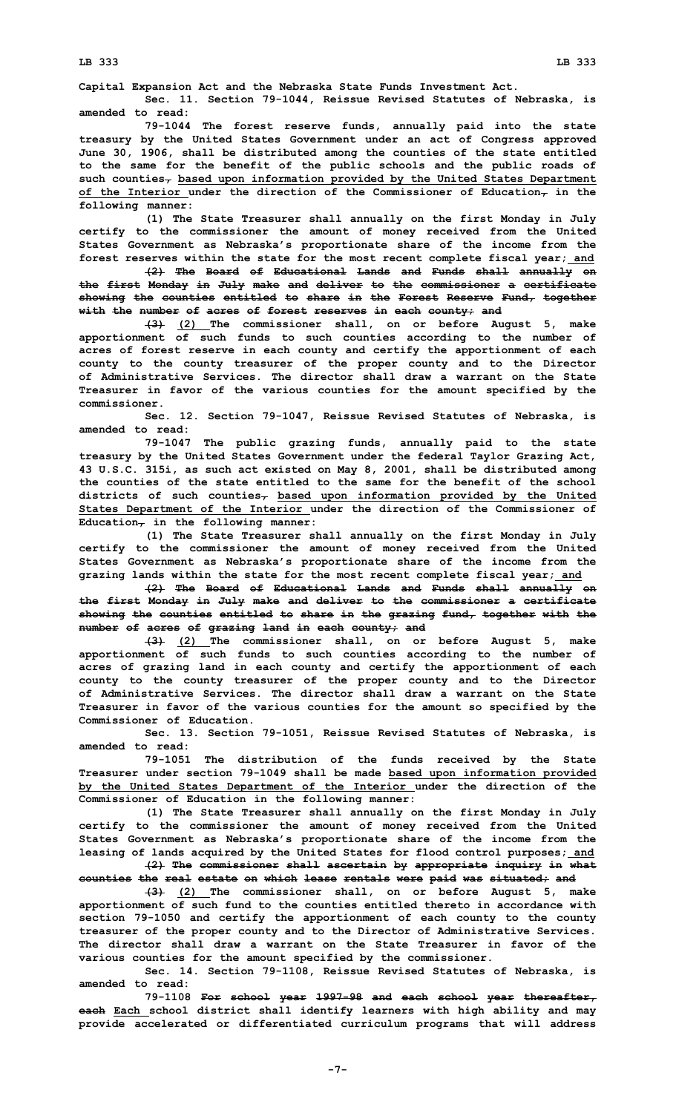**Capital Expansion Act and the Nebraska State Funds Investment Act.**

**Sec. 11. Section 79-1044, Reissue Revised Statutes of Nebraska, is amended to read:**

**79-1044 The forest reserve funds, annually paid into the state treasury by the United States Government under an act of Congress approved June 30, 1906, shall be distributed among the counties of the state entitled to the same for the benefit of the public schools and the public roads of such counties, based upon information provided by the United States Department of the Interior under the direction of the Commissioner of Education, in the following manner:**

**(1) The State Treasurer shall annually on the first Monday in July certify to the commissioner the amount of money received from the United States Government as Nebraska's proportionate share of the income from the forest reserves within the state for the most recent complete fiscal year; and**

**(2) The Board of Educational Lands and Funds shall annually on the first Monday in July make and deliver to the commissioner <sup>a</sup> certificate showing the counties entitled to share in the Forest Reserve Fund, together with the number of acres of forest reserves in each county; and**

**(3) (2) The commissioner shall, on or before August 5, make apportionment of such funds to such counties according to the number of acres of forest reserve in each county and certify the apportionment of each county to the county treasurer of the proper county and to the Director of Administrative Services. The director shall draw a warrant on the State Treasurer in favor of the various counties for the amount specified by the commissioner.**

**Sec. 12. Section 79-1047, Reissue Revised Statutes of Nebraska, is amended to read:**

**79-1047 The public grazing funds, annually paid to the state treasury by the United States Government under the federal Taylor Grazing Act, 43 U.S.C. 315i, as such act existed on May 8, 2001, shall be distributed among the counties of the state entitled to the same for the benefit of the school districts of such counties, based upon information provided by the United States Department of the Interior under the direction of the Commissioner of Education, in the following manner:**

**(1) The State Treasurer shall annually on the first Monday in July certify to the commissioner the amount of money received from the United States Government as Nebraska's proportionate share of the income from the grazing lands within the state for the most recent complete fiscal year; and**

**(2) The Board of Educational Lands and Funds shall annually on the first Monday in July make and deliver to the commissioner <sup>a</sup> certificate showing the counties entitled to share in the grazing fund, together with the number of acres of grazing land in each county; and**

**(3) (2) The commissioner shall, on or before August 5, make apportionment of such funds to such counties according to the number of acres of grazing land in each county and certify the apportionment of each county to the county treasurer of the proper county and to the Director of Administrative Services. The director shall draw a warrant on the State Treasurer in favor of the various counties for the amount so specified by the Commissioner of Education.**

**Sec. 13. Section 79-1051, Reissue Revised Statutes of Nebraska, is amended to read:**

**79-1051 The distribution of the funds received by the State Treasurer under section 79-1049 shall be made based upon information provided by the United States Department of the Interior under the direction of the Commissioner of Education in the following manner:**

**(1) The State Treasurer shall annually on the first Monday in July certify to the commissioner the amount of money received from the United States Government as Nebraska's proportionate share of the income from the leasing of lands acquired by the United States for flood control purposes; and (2) The commissioner shall ascertain by appropriate inquiry in what**

**counties the real estate on which lease rentals were paid was situated; and**

**(3) (2) The commissioner shall, on or before August 5, make apportionment of such fund to the counties entitled thereto in accordance with section 79-1050 and certify the apportionment of each county to the county treasurer of the proper county and to the Director of Administrative Services. The director shall draw a warrant on the State Treasurer in favor of the various counties for the amount specified by the commissioner.**

**Sec. 14. Section 79-1108, Reissue Revised Statutes of Nebraska, is amended to read:**

**79-1108 For school year 1997-98 and each school year thereafter, each Each school district shall identify learners with high ability and may provide accelerated or differentiated curriculum programs that will address**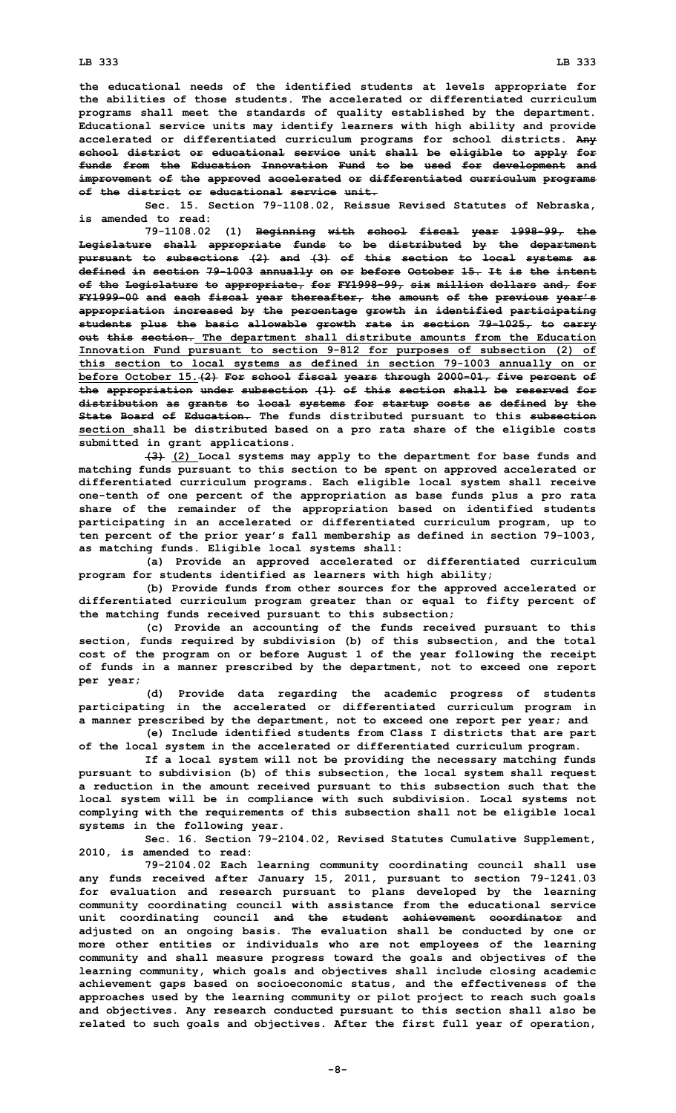**the educational needs of the identified students at levels appropriate for the abilities of those students. The accelerated or differentiated curriculum programs shall meet the standards of quality established by the department. Educational service units may identify learners with high ability and provide accelerated or differentiated curriculum programs for school districts. Any school district or educational service unit shall be eligible to apply for funds from the Education Innovation Fund to be used for development and improvement of the approved accelerated or differentiated curriculum programs of the district or educational service unit.**

**Sec. 15. Section 79-1108.02, Reissue Revised Statutes of Nebraska, is amended to read:**

**79-1108.02 (1) Beginning with school fiscal year 1998-99, the Legislature shall appropriate funds to be distributed by the department pursuant to subsections (2) and (3) of this section to local systems as defined in section 79-1003 annually on or before October 15. It is the intent of the Legislature to appropriate, for FY1998-99, six million dollars and, for FY1999-00 and each fiscal year thereafter, the amount of the previous year's appropriation increased by the percentage growth in identified participating students plus the basic allowable growth rate in section 79-1025, to carry out this section. The department shall distribute amounts from the Education Innovation Fund pursuant to section 9-812 for purposes of subsection (2) of this section to local systems as defined in section 79-1003 annually on or before October 15.(2) For school fiscal years through 2000-01, five percent of the appropriation under subsection (1) of this section shall be reserved for distribution as grants to local systems for startup costs as defined by the State Board of Education. The funds distributed pursuant to this subsection section shall be distributed based on <sup>a</sup> pro rata share of the eligible costs submitted in grant applications.**

**(3) (2) Local systems may apply to the department for base funds and matching funds pursuant to this section to be spent on approved accelerated or differentiated curriculum programs. Each eligible local system shall receive one-tenth of one percent of the appropriation as base funds plus <sup>a</sup> pro rata share of the remainder of the appropriation based on identified students participating in an accelerated or differentiated curriculum program, up to ten percent of the prior year's fall membership as defined in section 79-1003, as matching funds. Eligible local systems shall:**

**(a) Provide an approved accelerated or differentiated curriculum program for students identified as learners with high ability;**

**(b) Provide funds from other sources for the approved accelerated or differentiated curriculum program greater than or equal to fifty percent of the matching funds received pursuant to this subsection;**

**(c) Provide an accounting of the funds received pursuant to this section, funds required by subdivision (b) of this subsection, and the total cost of the program on or before August 1 of the year following the receipt of funds in <sup>a</sup> manner prescribed by the department, not to exceed one report per year;**

**(d) Provide data regarding the academic progress of students participating in the accelerated or differentiated curriculum program in <sup>a</sup> manner prescribed by the department, not to exceed one report per year; and**

**(e) Include identified students from Class <sup>I</sup> districts that are part of the local system in the accelerated or differentiated curriculum program.**

**If <sup>a</sup> local system will not be providing the necessary matching funds pursuant to subdivision (b) of this subsection, the local system shall request <sup>a</sup> reduction in the amount received pursuant to this subsection such that the local system will be in compliance with such subdivision. Local systems not complying with the requirements of this subsection shall not be eligible local systems in the following year.**

**Sec. 16. Section 79-2104.02, Revised Statutes Cumulative Supplement, 2010, is amended to read:**

**79-2104.02 Each learning community coordinating council shall use any funds received after January 15, 2011, pursuant to section 79-1241.03 for evaluation and research pursuant to plans developed by the learning community coordinating council with assistance from the educational service unit coordinating council and the student achievement coordinator and adjusted on an ongoing basis. The evaluation shall be conducted by one or more other entities or individuals who are not employees of the learning community and shall measure progress toward the goals and objectives of the learning community, which goals and objectives shall include closing academic achievement gaps based on socioeconomic status, and the effectiveness of the approaches used by the learning community or pilot project to reach such goals and objectives. Any research conducted pursuant to this section shall also be related to such goals and objectives. After the first full year of operation,**